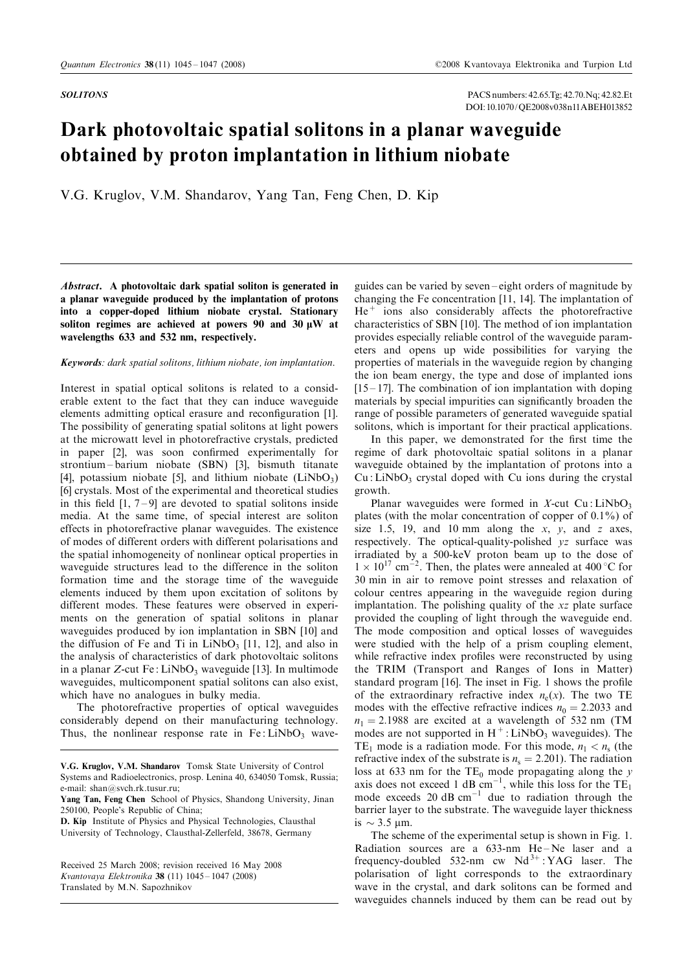SOLITONS PACS numbers: 42.65.Tg; 42.70.Nq; 42.82.Et DOI: 10.1070/QE2008v038n11ABEH013852

## Dark photovoltaic spatial solitons in a planar waveguide obtained by proton implantation in lithium niobate

V.G. Kruglov, V.M. Shandarov, Yang Tan, Feng Chen, D. Kip

Abstract. A photovoltaic dark spatial soliton is generated in a planar waveguide produced by the implantation of protons into a copper-doped lithium niobate crystal. Stationary soliton regimes are achieved at powers 90 and 30  $\mu$ W at wavelengths 633 and 532 nm, respectively.

## Keywords: dark spatial solitons, lithium niobate, ion implantation.

Interest in spatial optical solitons is related to a considerable extent to the fact that they can induce waveguide elements admitting optical erasure and reconfiguration [\[1\].](#page-2-0) The possibility of generating spatial solitons at light powers at the microwatt level in photorefractive crystals, predicted in paper [\[2\],](#page-2-0) was soon confirmed experimentally for strontium – barium niobate (SBN) [\[3\],](#page-2-0) bismuth titanate [4], potassium niobate [\[5\],](#page-2-0) and lithium niobate  $(LiNbO<sub>3</sub>)$ [\[6\]](#page-2-0) crystals. Most of the experimental and theoretical studies in this field  $[1, 7-9]$  are devoted to spatial solitons inside media. At the same time, of special interest are soliton effects in photorefractive planar waveguides. The existence of modes of different orders with different polarisations and the spatial inhomogeneity of nonlinear optical properties in waveguide structures lead to the difference in the soliton formation time and the storage time of the waveguide elements induced by them upon excitation of solitons by different modes. These features were observed in experiments on the generation of spatial solitons in planar waveguides produced by ion implantation in SB[N \[10\]](#page-2-0) and the diffusion of Fe and Ti in  $LiNbO<sub>3</sub>$  [\[11, 12\],](#page-2-0) and also in the analysis of characteristics of dark photovoltaic solitons in a planar  $Z$ -cut Fe : LiNbO<sub>3</sub> waveguide [\[13\].](#page-2-0) In multimode waveguides, multicomponent spatial solitons can also exist, which have no analogues in bulky media.

The photorefractive properties of optical waveguides considerably depend on their manufacturing technology. Thus, the nonlinear response rate in  $Fe: LiNbO<sub>3</sub>$  wave-

D. Kip Institute of Physics and Physical Technologies, Clausthal University of Technology, Clausthal-Zellerfeld, 38678, Germany

Received 25 March 2008; revision received 16 May 2008 Kvantovaya Elektronika 38 (11) 1045 – 1047 (2008) Translated by M.N. Sapozhnikov

guides can be varied by seven-eight orders of magnitude by changing the Fe concentration [\[11, 14\].](#page-2-0) The implantation of  $He<sup>+</sup>$  ions also considerably affects the photorefractive characteristics of SBN [\[10\].](#page-2-0) The method of ion implantation provides especially reliable control of the waveguide parameters and opens up wide possibilities for varying the properties of materials in the waveguide region by changing the ion beam energy, the type and dose of implanted ions  $[15 - 17]$ . The combination of ion implantation with doping materials by special impurities can significantly broaden the range of possible parameters of generated waveguide spatial solitons, which is important for their practical applications.

In this paper, we demonstrated for the first time the regime of dark photovoltaic spatial solitons in a planar waveguide obtained by the implantation of protons into a  $Cu: LiNbO<sub>3</sub>$  crystal doped with Cu ions during the crystal growth.

Planar waveguides were formed in  $X$ -cut Cu : LiNbO<sub>3</sub> plates (with the molar concentration of copper of 0.1%) of size 1.5, 19, and 10 mm along the  $x$ ,  $y$ , and  $z$  axes, respectively. The optical-quality-polished yz surface was irradiated by a 500-keV proton beam up to the dose of  $1 \times 10^{17}$  cm<sup>-2</sup>. Then, the plates were annealed at 400 °C for 30 min in air to remove point stresses and relaxation of colour centres appearing in the waveguide region during implantation. The polishing quality of the xz plate surface provided the coupling of light through the waveguide end. The mode composition and optical losses of waveguides were studied with the help of a prism coupling element, while refractive index profiles were reconstructed by using the TRIM (Transport and Ranges of Ions in Matter) standard program [\[16\].](#page-2-0) The inset in Fig. 1 shows the profile of the extraordinary refractive index  $n_e(x)$ . The two TE modes with the effective refractive indices  $n_0 = 2.2033$  and  $n_1 = 2.1988$  are excited at a wavelength of 532 nm (TM modes are not supported in  $H^+$ : LiNbO<sub>3</sub> waveguides). The TE<sub>1</sub> mode is a radiation mode. For this mode,  $n_1 < n_s$  (the refractive index of the substrate is  $n<sub>s</sub> = 2.201$ ). The radiation loss at 633 nm for the  $TE_0$  mode propagating along the y axis does not exceed 1 dB  $cm^{-1}$ , while this loss for the TE<sub>1</sub> mode exceeds 20  $\text{dB cm}^{-1}$  due to radiation through the barrier layer to the substrate. The waveguide layer thickness is  $\sim$  3.5 µm.

The scheme of the experimental setup is shown in Fig. 1. Radiation sources are a  $633$ -nm  $He$ -Ne laser and a frequency-doubled 532-nm cw  $Nd^{3+}$ : YAG laser. The polarisation of light corresponds to the extraordinary wave in the crystal, and dark solitons can be formed and waveguides channels induced by them can be read out by

V.G. Kruglov, V.M. Shandarov Tomsk State University of Control Systems and Radioelectronics, prosp. Lenina 40, 634050 Tomsk, Russia; e-mail: shan@svch.rk.tusur.ru;

Yang Tan, Feng Chen School of Physics, Shandong University, Jinan 250100, People's Republic of China;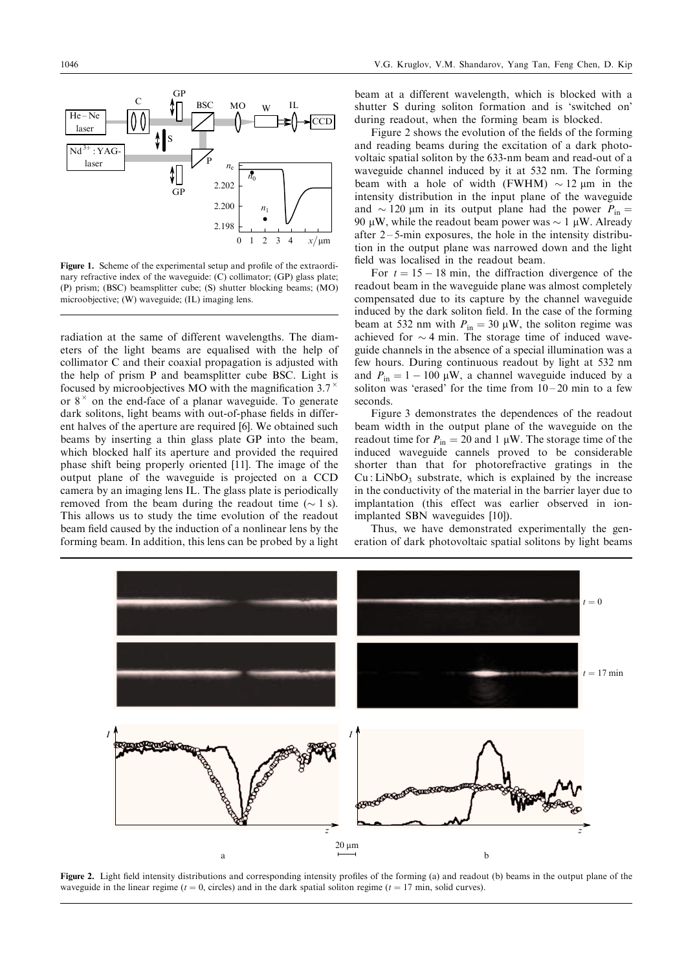

Figure 1. Scheme of the experimental setup and profile of the extraordinary refractive index of the waveguide: (C) collimator; (GP) glass plate; (P) prism; (BSC) beamsplitter cube; (S) shutter blocking beams; (MO) microobjective; (W) waveguide; (IL) imaging lens.

radiation at the same of different wavelengths. The diameters of the light beams are equalised with the help of collimator C and their coaxial propagation is adjusted with the help of prism P and beamsplitter cube BSC. Light is focused by microobjectives MO with the magnification 3.7 $^{\times}$ or  $8^{\times}$  on the end-face of a planar waveguide. To generate dark solitons, light beams with out-of-phase fields in different halves of the aperture are required [\[6\].](#page-2-0) We obtained such beams by inserting a thin glass plate GP into the beam, which blocked half its aperture and provided the required phase shift being properly oriented [\[11\].](#page-2-0) The image of the output plane of the waveguide is projected on a CCD camera by an imaging lens IL. The glass plate is periodically removed from the beam during the readout time  $(\sim 1 \text{ s})$ . This allows us to study the time evolution of the readout beam field caused by the induction of a nonlinear lens by the forming beam. In addition, this lens can be probed by a light

beam at a different wavelength, which is blocked with a shutter S during soliton formation and is `switched on' during readout, when the forming beam is blocked.

Figure 2 shows the evolution of the fields of the forming and reading beams during the excitation of a dark photovoltaic spatial soliton by the 633-nm beam and read-out of a waveguide channel induced by it at 532 nm. The forming beam with a hole of width (FWHM)  $\sim$  12  $\mu$ m in the intensity distribution in the input plane of the waveguide and  $\sim$  120 µm in its output plane had the power  $P_{\text{in}}$ 90  $\mu$ W, while the readout beam power was  $\sim 1 \mu$ W. Already after  $2 - 5$ -min exposures, the hole in the intensity distribution in the output plane was narrowed down and the light field was localised in the readout beam.

For  $t = 15 - 18$  min, the diffraction divergence of the readout beam in the waveguide plane was almost completely compensated due to its capture by the channel waveguide induced by the dark soliton field. In the case of the forming beam at 532 nm with  $P_{in} = 30 \mu W$ , the soliton regime was achieved for  $\sim$  4 min. The storage time of induced waveguide channels in the absence of a special illumination was a few hours. During continuous readout by light at 532 nm and  $P_{\text{in}} = 1 - 100 \mu W$ , a channel waveguide induced by a soliton was 'erased' for the time from  $10-20$  min to a few seconds.

Figure 3 demonstrates the dependences of the readout beam width in the output plane of the waveguide on the readout time for  $P_{in} = 20$  and 1 µW. The storage time of the induced waveguide cannels proved to be considerable shorter than that for photorefractive gratings in the  $Cu: LiNbO<sub>3</sub>$  substrate, which is explained by the increase in the conductivity of the material in the barrier layer due to implantation (this effect was earlier observed in ionimplanted SBN waveguides [\[10\]\)](#page-2-0).

Thus, we have demonstrated experimentally the generation of dark photovoltaic spatial solitons by light beams



Figure 2. Light field intensity distributions and corresponding intensity profiles of the forming (a) and readout (b) beams in the output plane of the waveguide in the linear regime ( $t = 0$ , circles) and in the dark spatial soliton regime ( $t = 17$  min, solid curves).